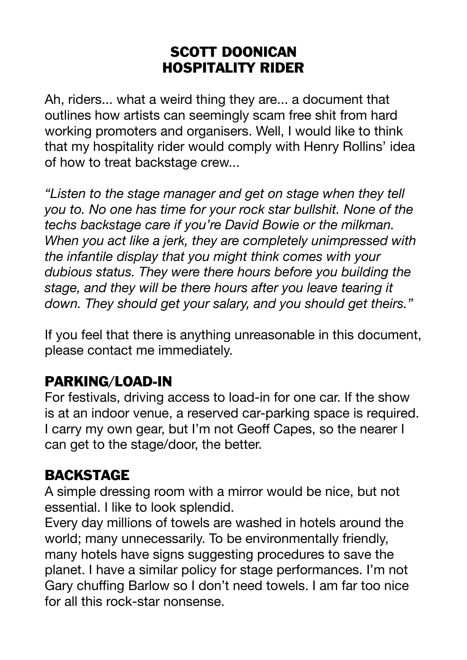#### SCOTT DOONICAN HOSPITALITY RIDER

Ah, riders... what a weird thing they are... a document that outlines how artists can seemingly scam free shit from hard working promoters and organisers. Well, I would like to think that my hospitality rider would comply with Henry Rollins' idea of how to treat backstage crew...

*"Listen to the stage manager and get on stage when they tell you to. No one has time for your rock star bullshit. None of the techs backstage care if you're David Bowie or the milkman. When you act like a jerk, they are completely unimpressed with the infantile display that you might think comes with your dubious status. They were there hours before you building the stage, and they will be there hours after you leave tearing it down. They should get your salary, and you should get theirs."* 

If you feel that there is anything unreasonable in this document, please contact me immediately.

#### PARKING/LOAD-IN

For festivals, driving access to load-in for one car. If the show is at an indoor venue, a reserved car-parking space is required. I carry my own gear, but I'm not Geoff Capes, so the nearer I can get to the stage/door, the better.

#### BACKSTAGE

A simple dressing room with a mirror would be nice, but not essential. I like to look splendid.

Every day millions of towels are washed in hotels around the world; many unnecessarily. To be environmentally friendly, many hotels have signs suggesting procedures to save the planet. I have a similar policy for stage performances. I'm not Gary chuffing Barlow so I don't need towels. I am far too nice for all this rock-star nonsense.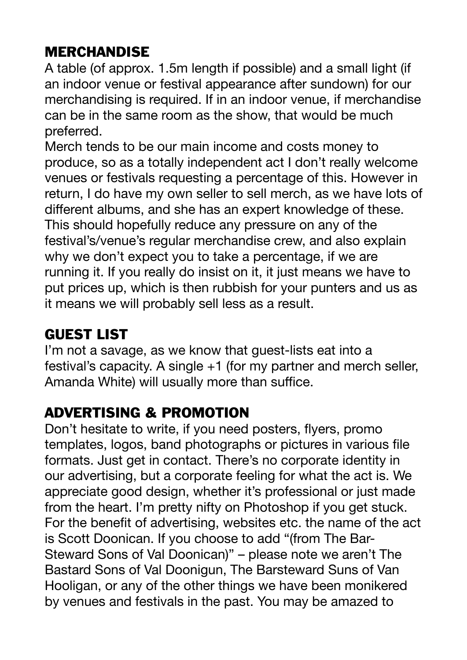### MERCHANDISE

A table (of approx. 1.5m length if possible) and a small light (if an indoor venue or festival appearance after sundown) for our merchandising is required. If in an indoor venue, if merchandise can be in the same room as the show, that would be much preferred.

Merch tends to be our main income and costs money to produce, so as a totally independent act I don't really welcome venues or festivals requesting a percentage of this. However in return, I do have my own seller to sell merch, as we have lots of different albums, and she has an expert knowledge of these. This should hopefully reduce any pressure on any of the festival's/venue's regular merchandise crew, and also explain why we don't expect you to take a percentage, if we are running it. If you really do insist on it, it just means we have to put prices up, which is then rubbish for your punters and us as it means we will probably sell less as a result.

# GUEST LIST

I'm not a savage, as we know that guest-lists eat into a festival's capacity. A single +1 (for my partner and merch seller, Amanda White) will usually more than suffice.

#### ADVERTISING & PROMOTION

Don't hesitate to write, if you need posters, flyers, promo templates, logos, band photographs or pictures in various file formats. Just get in contact. There's no corporate identity in our advertising, but a corporate feeling for what the act is. We appreciate good design, whether it's professional or just made from the heart. I'm pretty nifty on Photoshop if you get stuck. For the benefit of advertising, websites etc. the name of the act is Scott Doonican. If you choose to add "(from The Bar-Steward Sons of Val Doonican)" – please note we aren't The Bastard Sons of Val Doonigun, The Barsteward Suns of Van Hooligan, or any of the other things we have been monikered by venues and festivals in the past. You may be amazed to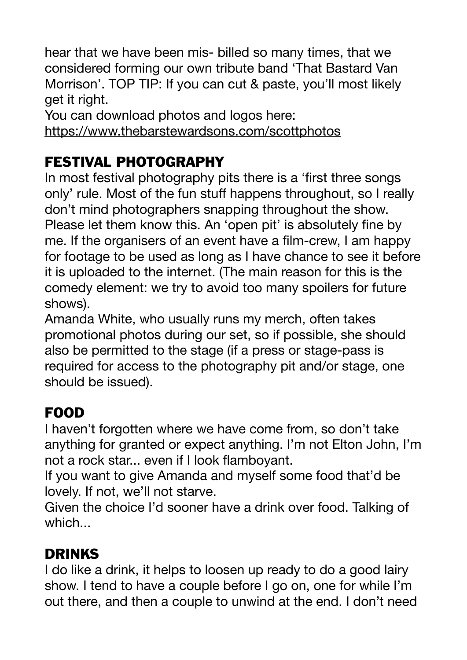hear that we have been mis- billed so many times, that we considered forming our own tribute band 'That Bastard Van Morrison'. TOP TIP: If you can cut & paste, you'll most likely get it right.

You can download photos and logos here:

<https://www.thebarstewardsons.com/scottphotos>

### FESTIVAL PHOTOGRAPHY

In most festival photography pits there is a 'first three songs only' rule. Most of the fun stuff happens throughout, so I really don't mind photographers snapping throughout the show. Please let them know this. An 'open pit' is absolutely fine by me. If the organisers of an event have a film-crew, I am happy for footage to be used as long as I have chance to see it before it is uploaded to the internet. (The main reason for this is the comedy element: we try to avoid too many spoilers for future shows).

Amanda White, who usually runs my merch, often takes promotional photos during our set, so if possible, she should also be permitted to the stage (if a press or stage-pass is required for access to the photography pit and/or stage, one should be issued).

## FOOD

I haven't forgotten where we have come from, so don't take anything for granted or expect anything. I'm not Elton John, I'm not a rock star... even if I look flamboyant.

If you want to give Amanda and myself some food that'd be lovely. If not, we'll not starve.

Given the choice I'd sooner have a drink over food. Talking of which...

## DRINKS

I do like a drink, it helps to loosen up ready to do a good lairy show. I tend to have a couple before I go on, one for while I'm out there, and then a couple to unwind at the end. I don't need